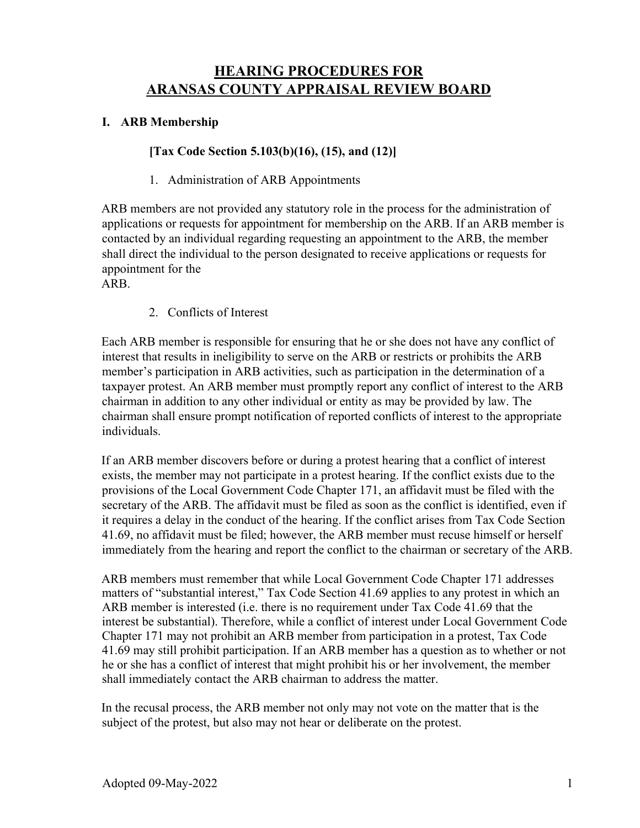# **HEARING PROCEDURES FOR ARANSAS COUNTY APPRAISAL REVIEW BOARD**

#### **I. ARB Membership**

#### **[Tax Code Section 5.103(b)(16), (15), and (12)]**

#### 1. Administration of ARB Appointments

ARB members are not provided any statutory role in the process for the administration of applications or requests for appointment for membership on the ARB. If an ARB member is contacted by an individual regarding requesting an appointment to the ARB, the member shall direct the individual to the person designated to receive applications or requests for appointment for the

ARB.

2. Conflicts of Interest

Each ARB member is responsible for ensuring that he or she does not have any conflict of interest that results in ineligibility to serve on the ARB or restricts or prohibits the ARB member's participation in ARB activities, such as participation in the determination of a taxpayer protest. An ARB member must promptly report any conflict of interest to the ARB chairman in addition to any other individual or entity as may be provided by law. The chairman shall ensure prompt notification of reported conflicts of interest to the appropriate individuals.

If an ARB member discovers before or during a protest hearing that a conflict of interest exists, the member may not participate in a protest hearing. If the conflict exists due to the provisions of the Local Government Code Chapter 171, an affidavit must be filed with the secretary of the ARB. The affidavit must be filed as soon as the conflict is identified, even if it requires a delay in the conduct of the hearing. If the conflict arises from Tax Code Section 41.69, no affidavit must be filed; however, the ARB member must recuse himself or herself immediately from the hearing and report the conflict to the chairman or secretary of the ARB.

ARB members must remember that while Local Government Code Chapter 171 addresses matters of "substantial interest," Tax Code Section 41.69 applies to any protest in which an ARB member is interested (i.e. there is no requirement under Tax Code 41.69 that the interest be substantial). Therefore, while a conflict of interest under Local Government Code Chapter 171 may not prohibit an ARB member from participation in a protest, Tax Code 41.69 may still prohibit participation. If an ARB member has a question as to whether or not he or she has a conflict of interest that might prohibit his or her involvement, the member shall immediately contact the ARB chairman to address the matter.

In the recusal process, the ARB member not only may not vote on the matter that is the subject of the protest, but also may not hear or deliberate on the protest.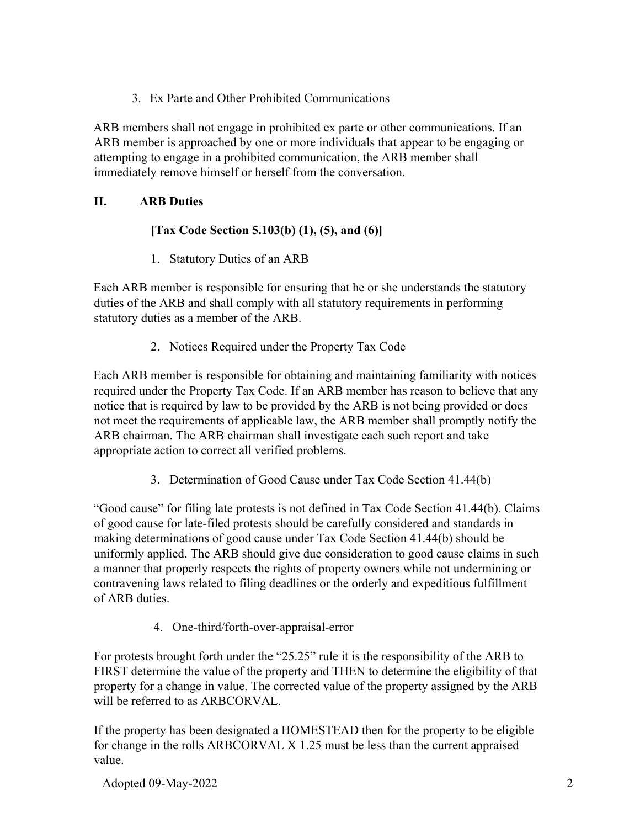3. Ex Parte and Other Prohibited Communications

ARB members shall not engage in prohibited ex parte or other communications. If an ARB member is approached by one or more individuals that appear to be engaging or attempting to engage in a prohibited communication, the ARB member shall immediately remove himself or herself from the conversation.

### **II. ARB Duties**

### **[Tax Code Section 5.103(b) (1), (5), and (6)]**

1. Statutory Duties of an ARB

Each ARB member is responsible for ensuring that he or she understands the statutory duties of the ARB and shall comply with all statutory requirements in performing statutory duties as a member of the ARB.

2. Notices Required under the Property Tax Code

Each ARB member is responsible for obtaining and maintaining familiarity with notices required under the Property Tax Code. If an ARB member has reason to believe that any notice that is required by law to be provided by the ARB is not being provided or does not meet the requirements of applicable law, the ARB member shall promptly notify the ARB chairman. The ARB chairman shall investigate each such report and take appropriate action to correct all verified problems.

3. Determination of Good Cause under Tax Code Section 41.44(b)

"Good cause" for filing late protests is not defined in Tax Code Section 41.44(b). Claims of good cause for late-filed protests should be carefully considered and standards in making determinations of good cause under Tax Code Section 41.44(b) should be uniformly applied. The ARB should give due consideration to good cause claims in such a manner that properly respects the rights of property owners while not undermining or contravening laws related to filing deadlines or the orderly and expeditious fulfillment of ARB duties.

4. One-third/forth-over-appraisal-error

For protests brought forth under the "25.25" rule it is the responsibility of the ARB to FIRST determine the value of the property and THEN to determine the eligibility of that property for a change in value. The corrected value of the property assigned by the ARB will be referred to as ARBCORVAL.

If the property has been designated a HOMESTEAD then for the property to be eligible for change in the rolls ARBCORVAL X 1.25 must be less than the current appraised value.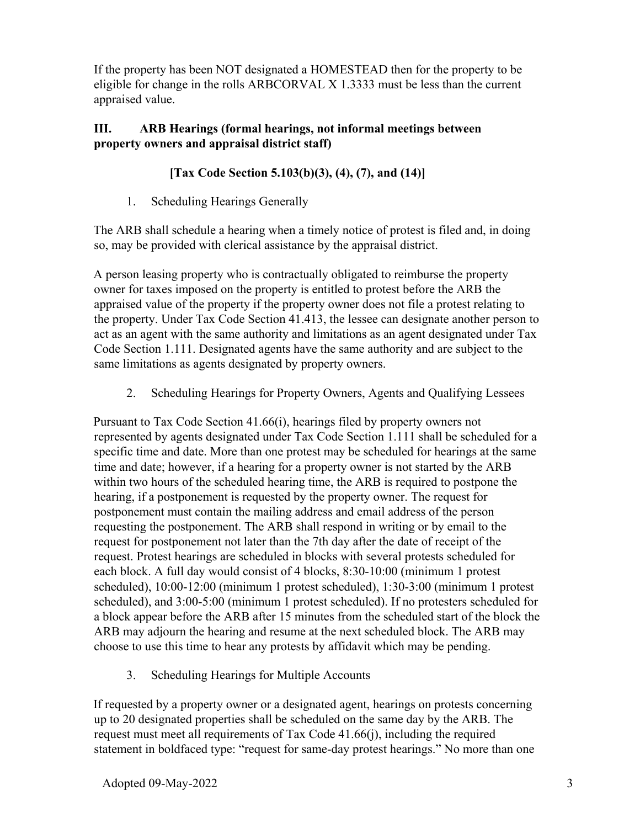If the property has been NOT designated a HOMESTEAD then for the property to be eligible for change in the rolls ARBCORVAL X 1.3333 must be less than the current appraised value.

## **III. ARB Hearings (formal hearings, not informal meetings between property owners and appraisal district staff)**

## **[Tax Code Section 5.103(b)(3), (4), (7), and (14)]**

1. Scheduling Hearings Generally

The ARB shall schedule a hearing when a timely notice of protest is filed and, in doing so, may be provided with clerical assistance by the appraisal district.

A person leasing property who is contractually obligated to reimburse the property owner for taxes imposed on the property is entitled to protest before the ARB the appraised value of the property if the property owner does not file a protest relating to the property. Under Tax Code Section 41.413, the lessee can designate another person to act as an agent with the same authority and limitations as an agent designated under Tax Code Section 1.111. Designated agents have the same authority and are subject to the same limitations as agents designated by property owners.

2. Scheduling Hearings for Property Owners, Agents and Qualifying Lessees

Pursuant to Tax Code Section 41.66(i), hearings filed by property owners not represented by agents designated under Tax Code Section 1.111 shall be scheduled for a specific time and date. More than one protest may be scheduled for hearings at the same time and date; however, if a hearing for a property owner is not started by the ARB within two hours of the scheduled hearing time, the ARB is required to postpone the hearing, if a postponement is requested by the property owner. The request for postponement must contain the mailing address and email address of the person requesting the postponement. The ARB shall respond in writing or by email to the request for postponement not later than the 7th day after the date of receipt of the request. Protest hearings are scheduled in blocks with several protests scheduled for each block. A full day would consist of 4 blocks, 8:30-10:00 (minimum 1 protest scheduled), 10:00-12:00 (minimum 1 protest scheduled), 1:30-3:00 (minimum 1 protest scheduled), and 3:00-5:00 (minimum 1 protest scheduled). If no protesters scheduled for a block appear before the ARB after 15 minutes from the scheduled start of the block the ARB may adjourn the hearing and resume at the next scheduled block. The ARB may choose to use this time to hear any protests by affidavit which may be pending.

3. Scheduling Hearings for Multiple Accounts

If requested by a property owner or a designated agent, hearings on protests concerning up to 20 designated properties shall be scheduled on the same day by the ARB. The request must meet all requirements of Tax Code 41.66(j), including the required statement in boldfaced type: "request for same-day protest hearings." No more than one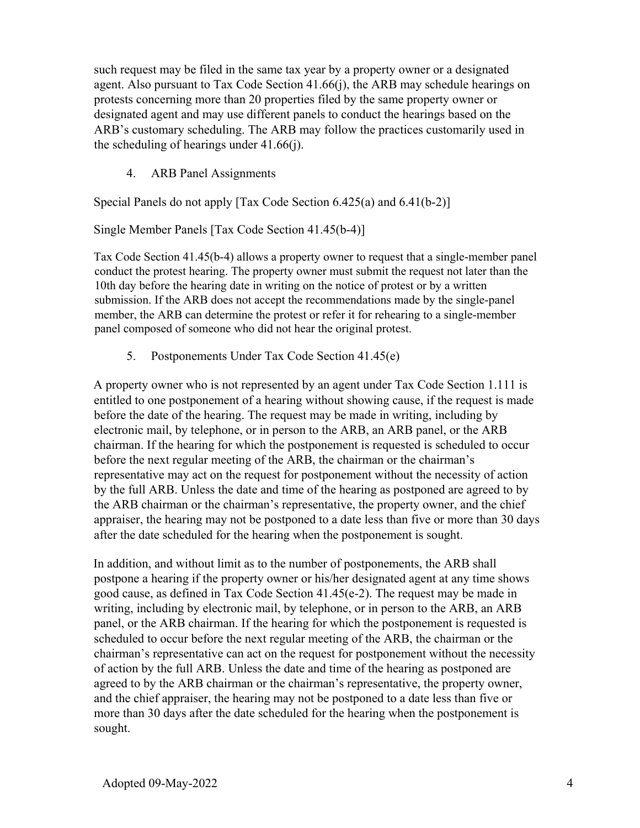such request may be filed in the same tax year by a property owner or a designated agent. Also pursuant to Tax Code Section 41.66(j), the ARB may schedule hearings on protests concerning more than 20 properties filed by the same property owner or designated agent and may use different panels to conduct the hearings based on the ARB's customary scheduling. The ARB may follow the practices customarily used in the scheduling of hearings under 41.66(j).

4. ARB Panel Assignments

Special Panels do not apply [Tax Code Section 6.425(a) and 6.41(b-2)]

Single Member Panels [Tax Code Section 41.45(b-4)]

Tax Code Section 41.45(b-4) allows a property owner to request that a single-member panel conduct the protest hearing. The property owner must submit the request not later than the 10th day before the hearing date in writing on the notice of protest or by a written submission. If the ARB does not accept the recommendations made by the single-panel member, the ARB can determine the protest or refer it for rehearing to a single-member panel composed of someone who did not hear the original protest.

5. Postponements Under Tax Code Section 41.45(e)

A property owner who is not represented by an agent under Tax Code Section 1.111 is entitled to one postponement of a hearing without showing cause, if the request is made before the date of the hearing. The request may be made in writing, including by electronic mail, by telephone, or in person to the ARB, an ARB panel, or the ARB chairman. If the hearing for which the postponement is requested is scheduled to occur before the next regular meeting of the ARB, the chairman or the chairman's representative may act on the request for postponement without the necessity of action by the full ARB. Unless the date and time of the hearing as postponed are agreed to by the ARB chairman or the chairman's representative, the property owner, and the chief appraiser, the hearing may not be postponed to a date less than five or more than 30 days after the date scheduled for the hearing when the postponement is sought.

In addition, and without limit as to the number of postponements, the ARB shall postpone a hearing if the property owner or his/her designated agent at any time shows good cause, as defined in Tax Code Section 41.45(e-2). The request may be made in writing, including by electronic mail, by telephone, or in person to the ARB, an ARB panel, or the ARB chairman. If the hearing for which the postponement is requested is scheduled to occur before the next regular meeting of the ARB, the chairman or the chairman's representative can act on the request for postponement without the necessity of action by the full ARB. Unless the date and time of the hearing as postponed are agreed to by the ARB chairman or the chairman's representative, the property owner, and the chief appraiser, the hearing may not be postponed to a date less than five or more than 30 days after the date scheduled for the hearing when the postponement is sought.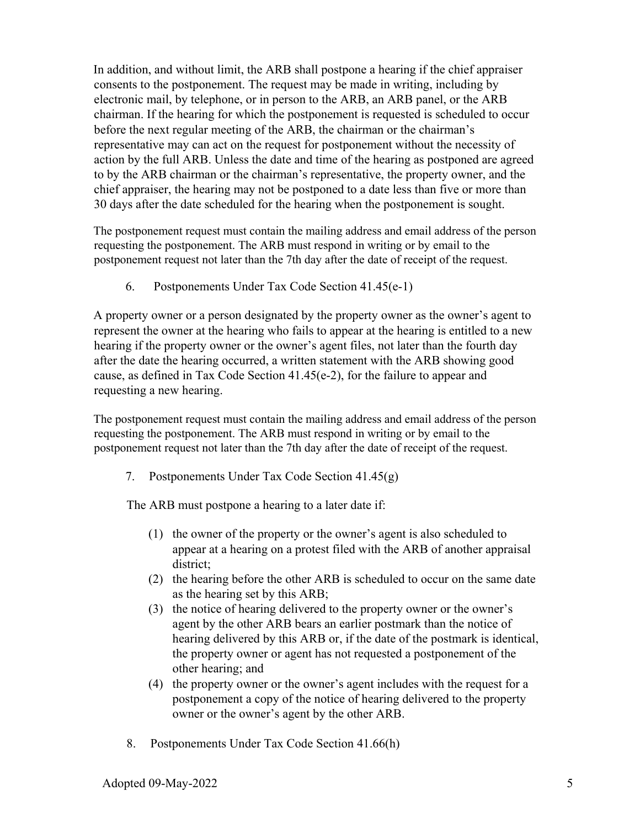In addition, and without limit, the ARB shall postpone a hearing if the chief appraiser consents to the postponement. The request may be made in writing, including by electronic mail, by telephone, or in person to the ARB, an ARB panel, or the ARB chairman. If the hearing for which the postponement is requested is scheduled to occur before the next regular meeting of the ARB, the chairman or the chairman's representative may can act on the request for postponement without the necessity of action by the full ARB. Unless the date and time of the hearing as postponed are agreed to by the ARB chairman or the chairman's representative, the property owner, and the chief appraiser, the hearing may not be postponed to a date less than five or more than 30 days after the date scheduled for the hearing when the postponement is sought.

The postponement request must contain the mailing address and email address of the person requesting the postponement. The ARB must respond in writing or by email to the postponement request not later than the 7th day after the date of receipt of the request.

6. Postponements Under Tax Code Section 41.45(e-1)

A property owner or a person designated by the property owner as the owner's agent to represent the owner at the hearing who fails to appear at the hearing is entitled to a new hearing if the property owner or the owner's agent files, not later than the fourth day after the date the hearing occurred, a written statement with the ARB showing good cause, as defined in Tax Code Section 41.45(e-2), for the failure to appear and requesting a new hearing.

The postponement request must contain the mailing address and email address of the person requesting the postponement. The ARB must respond in writing or by email to the postponement request not later than the 7th day after the date of receipt of the request.

7. Postponements Under Tax Code Section 41.45(g)

The ARB must postpone a hearing to a later date if:

- (1) the owner of the property or the owner's agent is also scheduled to appear at a hearing on a protest filed with the ARB of another appraisal district;
- (2) the hearing before the other ARB is scheduled to occur on the same date as the hearing set by this ARB;
- (3) the notice of hearing delivered to the property owner or the owner's agent by the other ARB bears an earlier postmark than the notice of hearing delivered by this ARB or, if the date of the postmark is identical, the property owner or agent has not requested a postponement of the other hearing; and
- (4) the property owner or the owner's agent includes with the request for a postponement a copy of the notice of hearing delivered to the property owner or the owner's agent by the other ARB.
- 8. Postponements Under Tax Code Section 41.66(h)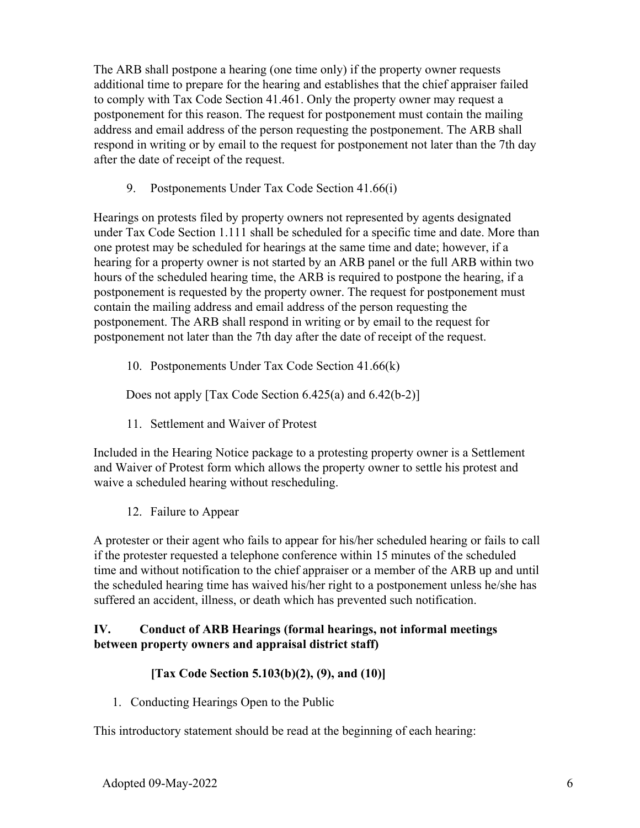The ARB shall postpone a hearing (one time only) if the property owner requests additional time to prepare for the hearing and establishes that the chief appraiser failed to comply with Tax Code Section 41.461. Only the property owner may request a postponement for this reason. The request for postponement must contain the mailing address and email address of the person requesting the postponement. The ARB shall respond in writing or by email to the request for postponement not later than the 7th day after the date of receipt of the request.

9. Postponements Under Tax Code Section 41.66(i)

Hearings on protests filed by property owners not represented by agents designated under Tax Code Section 1.111 shall be scheduled for a specific time and date. More than one protest may be scheduled for hearings at the same time and date; however, if a hearing for a property owner is not started by an ARB panel or the full ARB within two hours of the scheduled hearing time, the ARB is required to postpone the hearing, if a postponement is requested by the property owner. The request for postponement must contain the mailing address and email address of the person requesting the postponement. The ARB shall respond in writing or by email to the request for postponement not later than the 7th day after the date of receipt of the request.

10. Postponements Under Tax Code Section 41.66(k)

Does not apply [Tax Code Section 6.425(a) and 6.42(b-2)]

11. Settlement and Waiver of Protest

Included in the Hearing Notice package to a protesting property owner is a Settlement and Waiver of Protest form which allows the property owner to settle his protest and waive a scheduled hearing without rescheduling.

12. Failure to Appear

A protester or their agent who fails to appear for his/her scheduled hearing or fails to call if the protester requested a telephone conference within 15 minutes of the scheduled time and without notification to the chief appraiser or a member of the ARB up and until the scheduled hearing time has waived his/her right to a postponement unless he/she has suffered an accident, illness, or death which has prevented such notification.

## **IV. Conduct of ARB Hearings (formal hearings, not informal meetings between property owners and appraisal district staff)**

## **[Tax Code Section 5.103(b)(2), (9), and (10)]**

1. Conducting Hearings Open to the Public

This introductory statement should be read at the beginning of each hearing: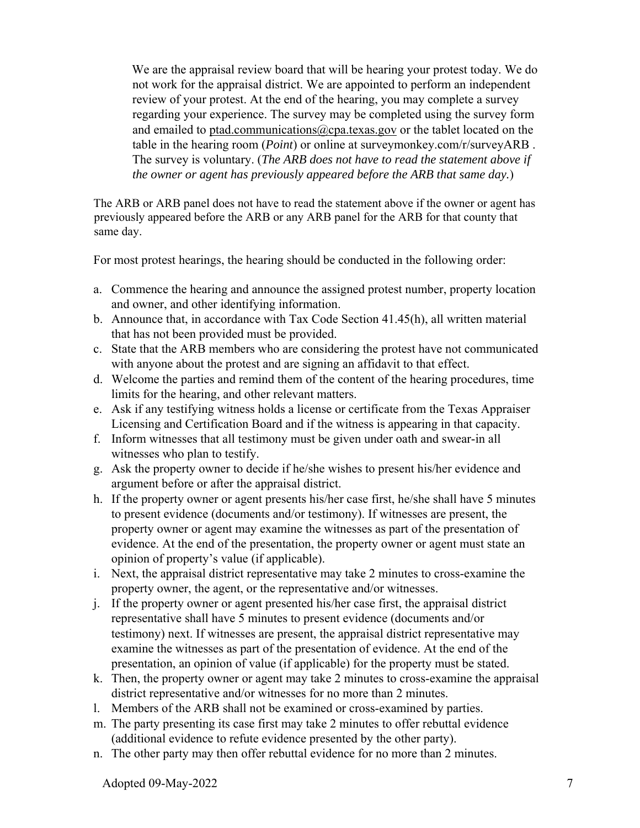We are the appraisal review board that will be hearing your protest today. We do not work for the appraisal district. We are appointed to perform an independent review of your protest. At the end of the hearing, you may complete a survey regarding your experience. The survey may be completed using the survey form and emailed to ptad.communications@cpa.texas.gov or the tablet located on the table in the hearing room (*Point*) or online at surveymonkey.com/r/surveyARB . The survey is voluntary. (*The ARB does not have to read the statement above if the owner or agent has previously appeared before the ARB that same day.*)

The ARB or ARB panel does not have to read the statement above if the owner or agent has previously appeared before the ARB or any ARB panel for the ARB for that county that same day.

For most protest hearings, the hearing should be conducted in the following order:

- a. Commence the hearing and announce the assigned protest number, property location and owner, and other identifying information.
- b. Announce that, in accordance with Tax Code Section 41.45(h), all written material that has not been provided must be provided.
- c. State that the ARB members who are considering the protest have not communicated with anyone about the protest and are signing an affidavit to that effect.
- d. Welcome the parties and remind them of the content of the hearing procedures, time limits for the hearing, and other relevant matters.
- e. Ask if any testifying witness holds a license or certificate from the Texas Appraiser Licensing and Certification Board and if the witness is appearing in that capacity.
- f. Inform witnesses that all testimony must be given under oath and swear-in all witnesses who plan to testify.
- g. Ask the property owner to decide if he/she wishes to present his/her evidence and argument before or after the appraisal district.
- h. If the property owner or agent presents his/her case first, he/she shall have 5 minutes to present evidence (documents and/or testimony). If witnesses are present, the property owner or agent may examine the witnesses as part of the presentation of evidence. At the end of the presentation, the property owner or agent must state an opinion of property's value (if applicable).
- i. Next, the appraisal district representative may take 2 minutes to cross-examine the property owner, the agent, or the representative and/or witnesses.
- j. If the property owner or agent presented his/her case first, the appraisal district representative shall have 5 minutes to present evidence (documents and/or testimony) next. If witnesses are present, the appraisal district representative may examine the witnesses as part of the presentation of evidence. At the end of the presentation, an opinion of value (if applicable) for the property must be stated.
- k. Then, the property owner or agent may take 2 minutes to cross-examine the appraisal district representative and/or witnesses for no more than 2 minutes.
- l. Members of the ARB shall not be examined or cross-examined by parties.
- m. The party presenting its case first may take 2 minutes to offer rebuttal evidence (additional evidence to refute evidence presented by the other party).
- n. The other party may then offer rebuttal evidence for no more than 2 minutes.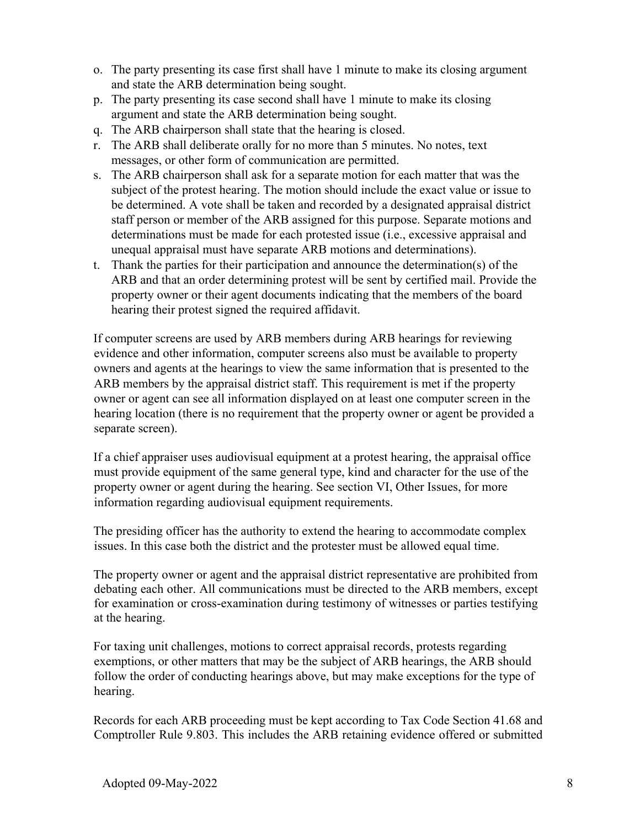- o. The party presenting its case first shall have 1 minute to make its closing argument and state the ARB determination being sought.
- p. The party presenting its case second shall have 1 minute to make its closing argument and state the ARB determination being sought.
- q. The ARB chairperson shall state that the hearing is closed.
- r. The ARB shall deliberate orally for no more than 5 minutes. No notes, text messages, or other form of communication are permitted.
- s. The ARB chairperson shall ask for a separate motion for each matter that was the subject of the protest hearing. The motion should include the exact value or issue to be determined. A vote shall be taken and recorded by a designated appraisal district staff person or member of the ARB assigned for this purpose. Separate motions and determinations must be made for each protested issue (i.e., excessive appraisal and unequal appraisal must have separate ARB motions and determinations).
- t. Thank the parties for their participation and announce the determination(s) of the ARB and that an order determining protest will be sent by certified mail. Provide the property owner or their agent documents indicating that the members of the board hearing their protest signed the required affidavit.

If computer screens are used by ARB members during ARB hearings for reviewing evidence and other information, computer screens also must be available to property owners and agents at the hearings to view the same information that is presented to the ARB members by the appraisal district staff. This requirement is met if the property owner or agent can see all information displayed on at least one computer screen in the hearing location (there is no requirement that the property owner or agent be provided a separate screen).

If a chief appraiser uses audiovisual equipment at a protest hearing, the appraisal office must provide equipment of the same general type, kind and character for the use of the property owner or agent during the hearing. See section VI, Other Issues, for more information regarding audiovisual equipment requirements.

The presiding officer has the authority to extend the hearing to accommodate complex issues. In this case both the district and the protester must be allowed equal time.

The property owner or agent and the appraisal district representative are prohibited from debating each other. All communications must be directed to the ARB members, except for examination or cross-examination during testimony of witnesses or parties testifying at the hearing.

For taxing unit challenges, motions to correct appraisal records, protests regarding exemptions, or other matters that may be the subject of ARB hearings, the ARB should follow the order of conducting hearings above, but may make exceptions for the type of hearing.

Records for each ARB proceeding must be kept according to Tax Code Section 41.68 and Comptroller Rule 9.803. This includes the ARB retaining evidence offered or submitted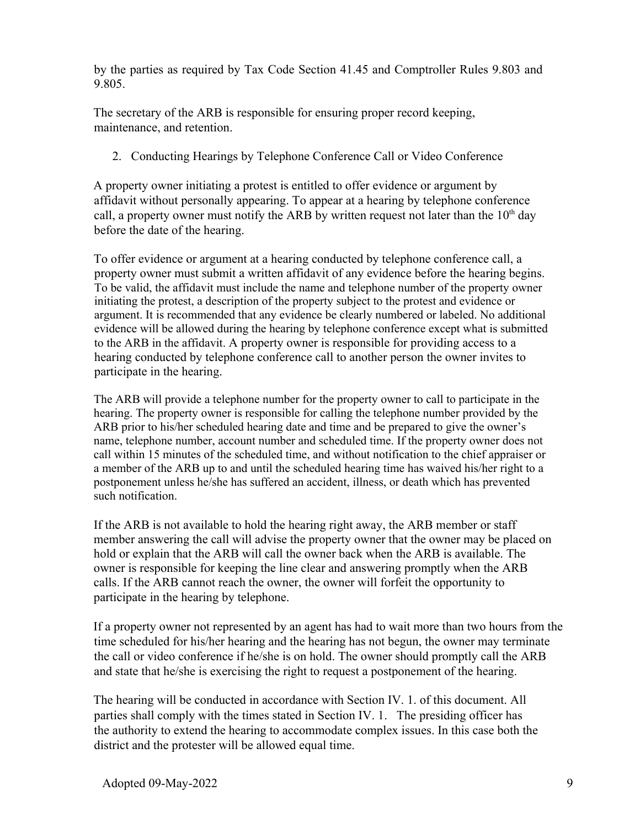by the parties as required by Tax Code Section 41.45 and Comptroller Rules 9.803 and 9.805.

The secretary of the ARB is responsible for ensuring proper record keeping, maintenance, and retention.

2. Conducting Hearings by Telephone Conference Call or Video Conference

A property owner initiating a protest is entitled to offer evidence or argument by affidavit without personally appearing. To appear at a hearing by telephone conference call, a property owner must notify the ARB by written request not later than the  $10<sup>th</sup>$  day before the date of the hearing.

To offer evidence or argument at a hearing conducted by telephone conference call, a property owner must submit a written affidavit of any evidence before the hearing begins. To be valid, the affidavit must include the name and telephone number of the property owner initiating the protest, a description of the property subject to the protest and evidence or argument. It is recommended that any evidence be clearly numbered or labeled. No additional evidence will be allowed during the hearing by telephone conference except what is submitted to the ARB in the affidavit. A property owner is responsible for providing access to a hearing conducted by telephone conference call to another person the owner invites to participate in the hearing.

The ARB will provide a telephone number for the property owner to call to participate in the hearing. The property owner is responsible for calling the telephone number provided by the ARB prior to his/her scheduled hearing date and time and be prepared to give the owner's name, telephone number, account number and scheduled time. If the property owner does not call within 15 minutes of the scheduled time, and without notification to the chief appraiser or a member of the ARB up to and until the scheduled hearing time has waived his/her right to a postponement unless he/she has suffered an accident, illness, or death which has prevented such notification.

If the ARB is not available to hold the hearing right away, the ARB member or staff member answering the call will advise the property owner that the owner may be placed on hold or explain that the ARB will call the owner back when the ARB is available. The owner is responsible for keeping the line clear and answering promptly when the ARB calls. If the ARB cannot reach the owner, the owner will forfeit the opportunity to participate in the hearing by telephone.

If a property owner not represented by an agent has had to wait more than two hours from the time scheduled for his/her hearing and the hearing has not begun, the owner may terminate the call or video conference if he/she is on hold. The owner should promptly call the ARB and state that he/she is exercising the right to request a postponement of the hearing.

The hearing will be conducted in accordance with Section IV. 1. of this document. All parties shall comply with the times stated in Section IV. 1. The presiding officer has the authority to extend the hearing to accommodate complex issues. In this case both the district and the protester will be allowed equal time.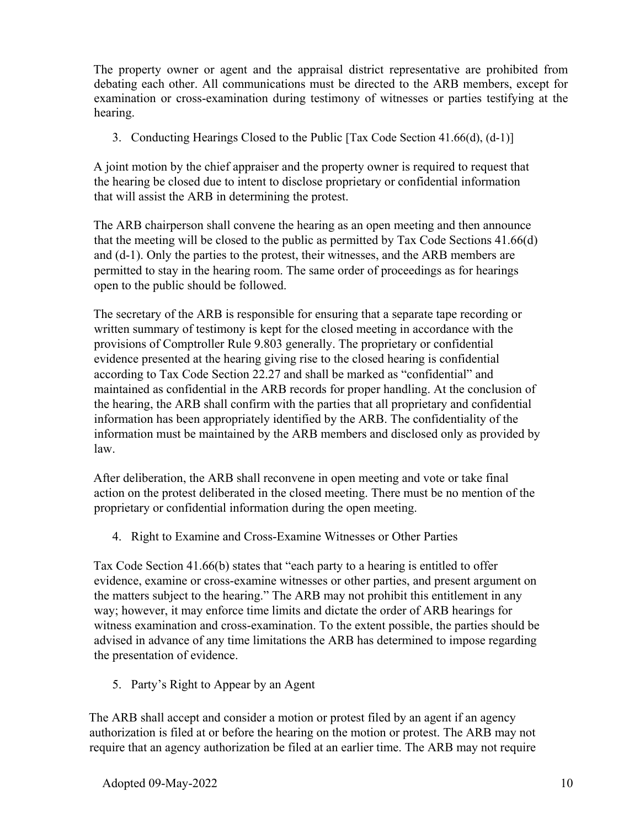The property owner or agent and the appraisal district representative are prohibited from debating each other. All communications must be directed to the ARB members, except for examination or cross-examination during testimony of witnesses or parties testifying at the hearing.

3. Conducting Hearings Closed to the Public [Tax Code Section 41.66(d), (d-1)]

A joint motion by the chief appraiser and the property owner is required to request that the hearing be closed due to intent to disclose proprietary or confidential information that will assist the ARB in determining the protest.

The ARB chairperson shall convene the hearing as an open meeting and then announce that the meeting will be closed to the public as permitted by Tax Code Sections 41.66(d) and (d-1). Only the parties to the protest, their witnesses, and the ARB members are permitted to stay in the hearing room. The same order of proceedings as for hearings open to the public should be followed.

The secretary of the ARB is responsible for ensuring that a separate tape recording or written summary of testimony is kept for the closed meeting in accordance with the provisions of Comptroller Rule 9.803 generally. The proprietary or confidential evidence presented at the hearing giving rise to the closed hearing is confidential according to Tax Code Section 22.27 and shall be marked as "confidential" and maintained as confidential in the ARB records for proper handling. At the conclusion of the hearing, the ARB shall confirm with the parties that all proprietary and confidential information has been appropriately identified by the ARB. The confidentiality of the information must be maintained by the ARB members and disclosed only as provided by law.

After deliberation, the ARB shall reconvene in open meeting and vote or take final action on the protest deliberated in the closed meeting. There must be no mention of the proprietary or confidential information during the open meeting.

4. Right to Examine and Cross-Examine Witnesses or Other Parties

Tax Code Section 41.66(b) states that "each party to a hearing is entitled to offer evidence, examine or cross-examine witnesses or other parties, and present argument on the matters subject to the hearing." The ARB may not prohibit this entitlement in any way; however, it may enforce time limits and dictate the order of ARB hearings for witness examination and cross-examination. To the extent possible, the parties should be advised in advance of any time limitations the ARB has determined to impose regarding the presentation of evidence.

5. Party's Right to Appear by an Agent

The ARB shall accept and consider a motion or protest filed by an agent if an agency authorization is filed at or before the hearing on the motion or protest. The ARB may not require that an agency authorization be filed at an earlier time. The ARB may not require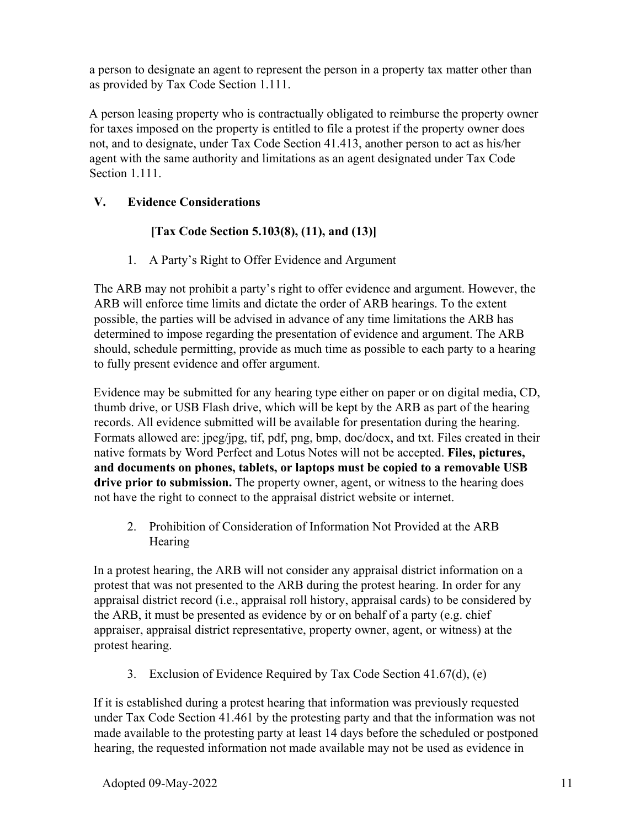a person to designate an agent to represent the person in a property tax matter other than as provided by Tax Code Section 1.111.

A person leasing property who is contractually obligated to reimburse the property owner for taxes imposed on the property is entitled to file a protest if the property owner does not, and to designate, under Tax Code Section 41.413, another person to act as his/her agent with the same authority and limitations as an agent designated under Tax Code Section 1.111.

## **V. Evidence Considerations**

## **[Tax Code Section 5.103(8), (11), and (13)]**

1. A Party's Right to Offer Evidence and Argument

The ARB may not prohibit a party's right to offer evidence and argument. However, the ARB will enforce time limits and dictate the order of ARB hearings. To the extent possible, the parties will be advised in advance of any time limitations the ARB has determined to impose regarding the presentation of evidence and argument. The ARB should, schedule permitting, provide as much time as possible to each party to a hearing to fully present evidence and offer argument.

Evidence may be submitted for any hearing type either on paper or on digital media, CD, thumb drive, or USB Flash drive, which will be kept by the ARB as part of the hearing records. All evidence submitted will be available for presentation during the hearing. Formats allowed are: jpeg/jpg, tif, pdf, png, bmp, doc/docx, and txt. Files created in their native formats by Word Perfect and Lotus Notes will not be accepted. **Files, pictures, and documents on phones, tablets, or laptops must be copied to a removable USB drive prior to submission.** The property owner, agent, or witness to the hearing does not have the right to connect to the appraisal district website or internet.

2. Prohibition of Consideration of Information Not Provided at the ARB **Hearing** 

In a protest hearing, the ARB will not consider any appraisal district information on a protest that was not presented to the ARB during the protest hearing. In order for any appraisal district record (i.e., appraisal roll history, appraisal cards) to be considered by the ARB, it must be presented as evidence by or on behalf of a party (e.g. chief appraiser, appraisal district representative, property owner, agent, or witness) at the protest hearing.

3. Exclusion of Evidence Required by Tax Code Section 41.67(d), (e)

If it is established during a protest hearing that information was previously requested under Tax Code Section 41.461 by the protesting party and that the information was not made available to the protesting party at least 14 days before the scheduled or postponed hearing, the requested information not made available may not be used as evidence in